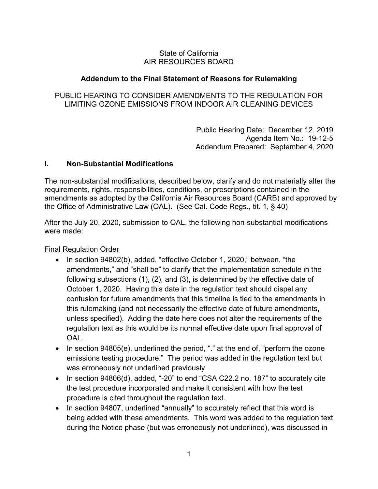## State of California AIR RESOURCES BOARD

# **Addendum to the Final Statement of Reasons for Rulemaking**

# PUBLIC HEARING TO CONSIDER AMENDMENTS TO THE REGULATION FOR LIMITING OZONE EMISSIONS FROM INDOOR AIR CLEANING DEVICES

 Public Hearing Date: December 12, 2019 Addendum Prepared: September 4, 2020 Agenda Item No.: 19-12-5

## **I. Non-Substantial Modifications**

 the Office of Administrative Law (OAL). (See Cal. Code Regs., tit. 1, § 40) The non-substantial modifications, described below, clarify and do not materially alter the requirements, rights, responsibilities, conditions, or prescriptions contained in the amendments as adopted by the California Air Resources Board (CARB) and approved by

After the July 20, 2020, submission to OAL, the following non-substantial modifications were made:

Final Regulation Order

- confusion for future amendments that this timeline is tied to the amendments in unless specified). Adding the date here does not alter the requirements of the regulation text as this would be its normal effective date upon final approval of • In section 94802(b), added, "effective October 1, 2020," between, "the amendments," and "shall be" to clarify that the implementation schedule in the following subsections (1), (2), and (3), is determined by the effective date of October 1, 2020. Having this date in the regulation text should dispel any this rulemaking (and not necessarily the effective date of future amendments, OAL.
- emissions testing procedure." The period was added in the regulation text but • In section 94805(e), underlined the period, "." at the end of, "perform the ozone was erroneously not underlined previously.
- In section 94806(d), added, "-20" to end "CSA C22.2 no. 187" to accurately cite the test procedure incorporated and make it consistent with how the test procedure is cited throughout the regulation text.
- • In section 94807, underlined "annually" to accurately reflect that this word is being added with these amendments. This word was added to the regulation text during the Notice phase (but was erroneously not underlined), was discussed in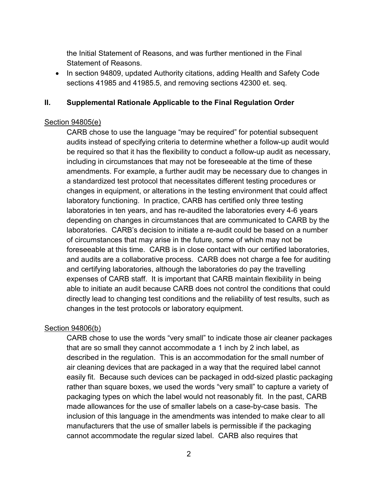the Initial Statement of Reasons, and was further mentioned in the Final Statement of Reasons.

 sections 41985 and 41985.5, and removing sections 42300 et. seq. • In section 94809, updated Authority citations, adding Health and Safety Code

#### **II. Supplemental Rationale Applicable to the Final Regulation Order**

#### Section 94805(e)

 including in circumstances that may not be foreseeable at the time of these laboratory functioning. In practice, CARB has certified only three testing laboratories. CARB's decision to initiate a re-audit could be based on a number foreseeable at this time. CARB is in close contact with our certified laboratories, and audits are a collaborative process. CARB does not charge a fee for auditing expenses of CARB staff. It is important that CARB maintain flexibility in being CARB chose to use the language "may be required" for potential subsequent audits instead of specifying criteria to determine whether a follow-up audit would be required so that it has the flexibility to conduct a follow-up audit as necessary, amendments. For example, a further audit may be necessary due to changes in a standardized test protocol that necessitates different testing procedures or changes in equipment, or alterations in the testing environment that could affect laboratories in ten years, and has re-audited the laboratories every 4-6 years depending on changes in circumstances that are communicated to CARB by the of circumstances that may arise in the future, some of which may not be and certifying laboratories, although the laboratories do pay the travelling able to initiate an audit because CARB does not control the conditions that could directly lead to changing test conditions and the reliability of test results, such as changes in the test protocols or laboratory equipment.

### Section 94806(b)

 CARB chose to use the words "very small" to indicate those air cleaner packages described in the regulation. This is an accommodation for the small number of packaging types on which the label would not reasonably fit. In the past, CARB cannot accommodate the regular sized label. CARB also requires that that are so small they cannot accommodate a 1 inch by 2 inch label, as air cleaning devices that are packaged in a way that the required label cannot easily fit. Because such devices can be packaged in odd-sized plastic packaging rather than square boxes, we used the words "very small" to capture a variety of made allowances for the use of smaller labels on a case-by-case basis. The inclusion of this language in the amendments was intended to make clear to all manufacturers that the use of smaller labels is permissible if the packaging